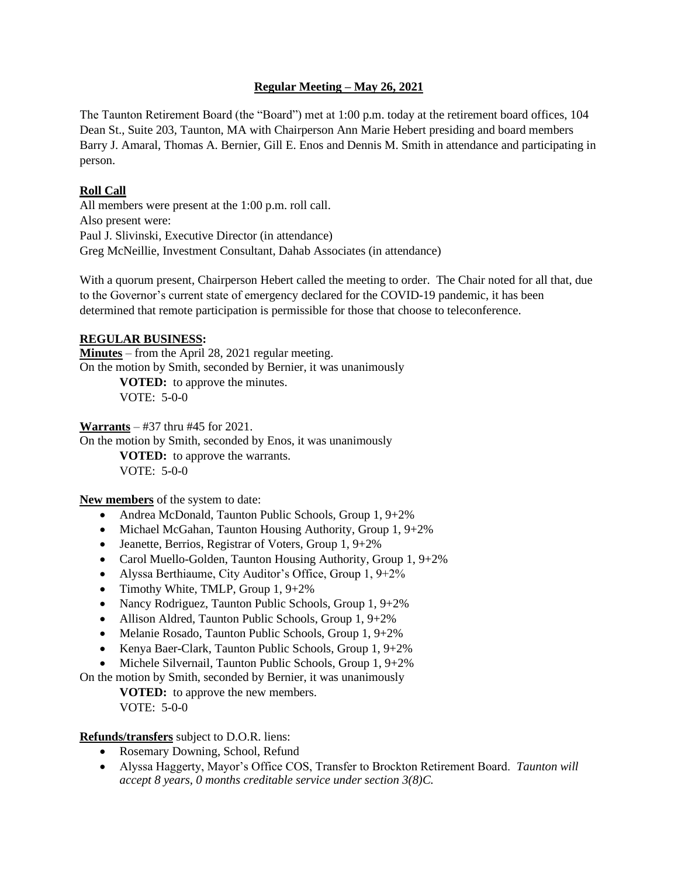### **Regular Meeting – May 26, 2021**

The Taunton Retirement Board (the "Board") met at 1:00 p.m. today at the retirement board offices, 104 Dean St., Suite 203, Taunton, MA with Chairperson Ann Marie Hebert presiding and board members Barry J. Amaral, Thomas A. Bernier, Gill E. Enos and Dennis M. Smith in attendance and participating in person.

## **Roll Call**

All members were present at the 1:00 p.m. roll call. Also present were: Paul J. Slivinski, Executive Director (in attendance) Greg McNeillie, Investment Consultant, Dahab Associates (in attendance)

With a quorum present, Chairperson Hebert called the meeting to order. The Chair noted for all that, due to the Governor's current state of emergency declared for the COVID-19 pandemic, it has been determined that remote participation is permissible for those that choose to teleconference.

## **REGULAR BUSINESS:**

**Minutes** – from the April 28, 2021 regular meeting. On the motion by Smith, seconded by Bernier, it was unanimously **VOTED:** to approve the minutes.

VOTE: 5-0-0

**Warrants** – #37 thru #45 for 2021.

On the motion by Smith, seconded by Enos, it was unanimously

**VOTED:** to approve the warrants.  $VOTE: 5-0-0$ 

**New members** of the system to date:

- Andrea McDonald, Taunton Public Schools, Group 1, 9+2%
- Michael McGahan, Taunton Housing Authority, Group 1, 9+2%
- Jeanette, Berrios, Registrar of Voters, Group 1, 9+2%
- Carol Muello-Golden, Taunton Housing Authority, Group 1, 9+2%
- Alyssa Berthiaume, City Auditor's Office, Group 1, 9+2%
- Timothy White, TMLP, Group 1, 9+2%
- Nancy Rodriguez, Taunton Public Schools, Group 1, 9+2%
- Allison Aldred, Taunton Public Schools, Group 1, 9+2%
- Melanie Rosado, Taunton Public Schools, Group 1, 9+2%
- Kenya Baer-Clark, Taunton Public Schools, Group 1, 9+2%
- Michele Silvernail, Taunton Public Schools, Group 1, 9+2%

On the motion by Smith, seconded by Bernier, it was unanimously

**VOTED:** to approve the new members. VOTE: 5-0-0

# **Refunds/transfers** subject to D.O.R. liens:

- Rosemary Downing, School, Refund
- Alyssa Haggerty, Mayor's Office COS, Transfer to Brockton Retirement Board. *Taunton will accept 8 years, 0 months creditable service under section 3(8)C.*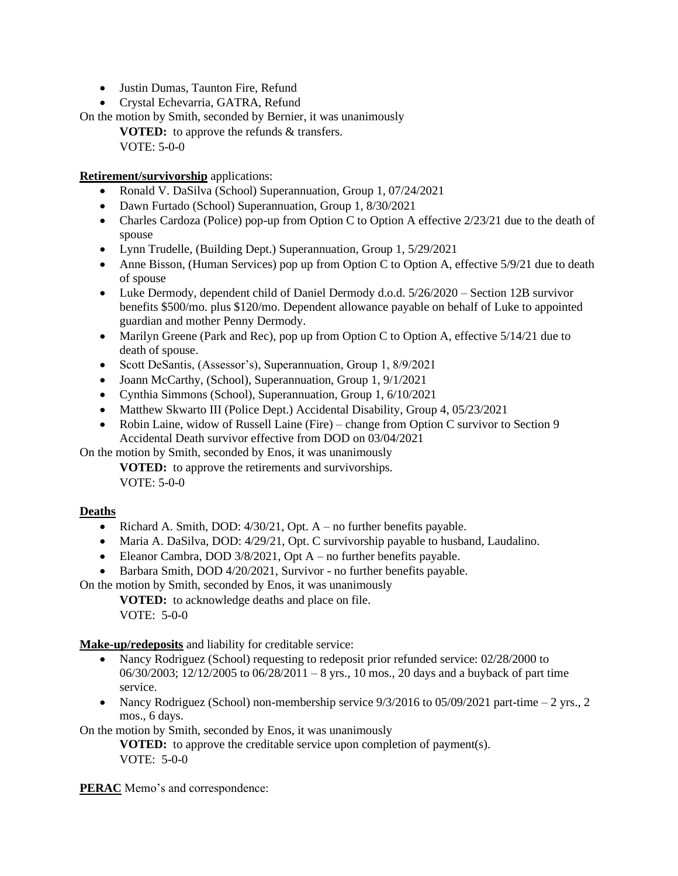- Justin Dumas, Taunton Fire, Refund
- Crystal Echevarria, GATRA, Refund

On the motion by Smith, seconded by Bernier, it was unanimously

**VOTED:** to approve the refunds & transfers. VOTE: 5-0-0

**Retirement/survivorship** applications:

- Ronald V. DaSilva (School) Superannuation, Group 1, 07/24/2021
- Dawn Furtado (School) Superannuation, Group 1, 8/30/2021
- Charles Cardoza (Police) pop-up from Option C to Option A effective 2/23/21 due to the death of spouse
- Lynn Trudelle, (Building Dept.) Superannuation, Group 1, 5/29/2021
- Anne Bisson, (Human Services) pop up from Option C to Option A, effective 5/9/21 due to death of spouse
- Luke Dermody, dependent child of Daniel Dermody d.o.d.  $5/26/2020 -$  Section 12B survivor benefits \$500/mo. plus \$120/mo. Dependent allowance payable on behalf of Luke to appointed guardian and mother Penny Dermody.
- Marilyn Greene (Park and Rec), pop up from Option C to Option A, effective 5/14/21 due to death of spouse.
- Scott DeSantis, (Assessor's), Superannuation, Group 1, 8/9/2021
- Joann McCarthy, (School), Superannuation, Group 1, 9/1/2021
- Cynthia Simmons (School), Superannuation, Group 1, 6/10/2021
- Matthew Skwarto III (Police Dept.) Accidental Disability, Group 4, 05/23/2021
- Robin Laine, widow of Russell Laine (Fire) change from Option C survivor to Section 9 Accidental Death survivor effective from DOD on 03/04/2021

On the motion by Smith, seconded by Enos, it was unanimously

**VOTED:** to approve the retirements and survivorships. VOTE: 5-0-0

### **Deaths**

- Richard A. Smith, DOD:  $4/30/21$ , Opt. A no further benefits payable.
- Maria A. DaSilva, DOD: 4/29/21, Opt. C survivorship payable to husband, Laudalino.
- Eleanor Cambra, DOD  $3/8/2021$ , Opt A no further benefits payable.
- Barbara Smith, DOD 4/20/2021, Survivor no further benefits payable.

On the motion by Smith, seconded by Enos, it was unanimously

**VOTED:** to acknowledge deaths and place on file. VOTE: 5-0-0

**Make-up/redeposits** and liability for creditable service:

- Nancy Rodriguez (School) requesting to redeposit prior refunded service: 02/28/2000 to 06/30/2003; 12/12/2005 to 06/28/2011 – 8 yrs., 10 mos., 20 days and a buyback of part time service.
- Nancy Rodriguez (School) non-membership service  $9/3/2016$  to  $05/09/2021$  part-time  $-2$  yrs., 2 mos., 6 days.

On the motion by Smith, seconded by Enos, it was unanimously

**VOTED:** to approve the creditable service upon completion of payment(s). VOTE: 5-0-0

**PERAC** Memo's and correspondence: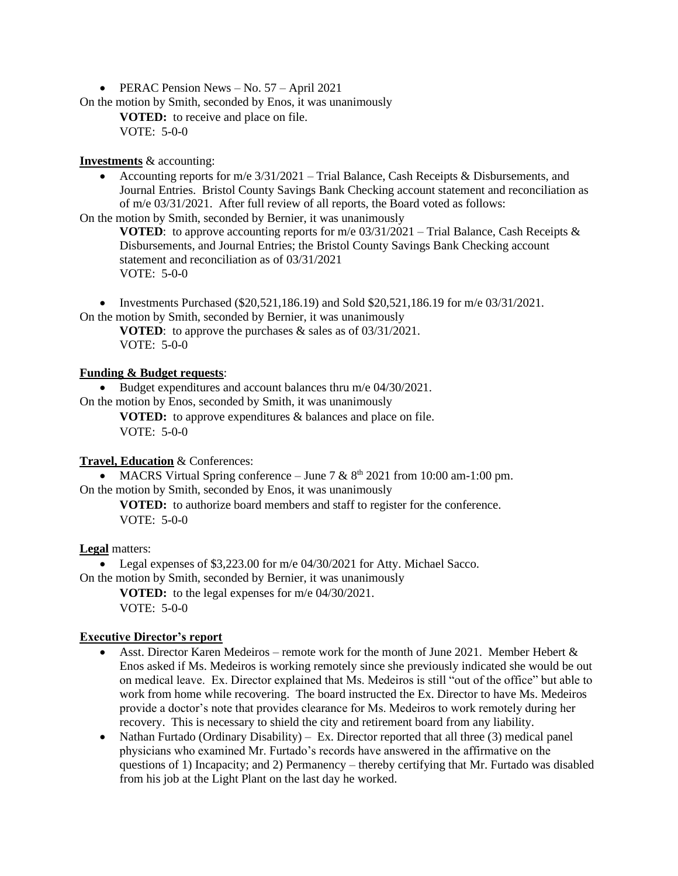• PERAC Pension News – No. 57 – April 2021

On the motion by Smith, seconded by Enos, it was unanimously

**VOTED:** to receive and place on file. VOTE: 5-0-0

### **Investments** & accounting:

• Accounting reports for m/e 3/31/2021 – Trial Balance, Cash Receipts & Disbursements, and Journal Entries. Bristol County Savings Bank Checking account statement and reconciliation as of m/e 03/31/2021. After full review of all reports, the Board voted as follows:

On the motion by Smith, seconded by Bernier, it was unanimously

**VOTED:** to approve accounting reports for m/e  $03/31/2021$  – Trial Balance, Cash Receipts & Disbursements, and Journal Entries; the Bristol County Savings Bank Checking account statement and reconciliation as of 03/31/2021 VOTE: 5-0-0

• Investments Purchased (\$20,521,186.19) and Sold  $$20,521,186.19$  for m/e  $03/31/2021$ . On the motion by Smith, seconded by Bernier, it was unanimously

**VOTED**: to approve the purchases & sales as of 03/31/2021. VOTE: 5-0-0

## **Funding & Budget requests**:

• Budget expenditures and account balances thru m/e 04/30/2021. On the motion by Enos, seconded by Smith, it was unanimously

**VOTED:** to approve expenditures & balances and place on file. VOTE: 5-0-0

### **Travel, Education** & Conferences:

• MACRS Virtual Spring conference – June 7 &  $8<sup>th</sup>$  2021 from 10:00 am-1:00 pm. On the motion by Smith, seconded by Enos, it was unanimously

**VOTED:** to authorize board members and staff to register for the conference. VOTE: 5-0-0

### **Legal** matters:

• Legal expenses of \$3,223.00 for m/e 04/30/2021 for Atty. Michael Sacco.

On the motion by Smith, seconded by Bernier, it was unanimously **VOTED:** to the legal expenses for m/e 04/30/2021.

VOTE: 5-0-0

# **Executive Director's report**

- Asst. Director Karen Medeiros remote work for the month of June 2021. Member Hebert & Enos asked if Ms. Medeiros is working remotely since she previously indicated she would be out on medical leave. Ex. Director explained that Ms. Medeiros is still "out of the office" but able to work from home while recovering. The board instructed the Ex. Director to have Ms. Medeiros provide a doctor's note that provides clearance for Ms. Medeiros to work remotely during her recovery. This is necessary to shield the city and retirement board from any liability.
- Nathan Furtado (Ordinary Disability) Ex. Director reported that all three (3) medical panel physicians who examined Mr. Furtado's records have answered in the affirmative on the questions of 1) Incapacity; and 2) Permanency – thereby certifying that Mr. Furtado was disabled from his job at the Light Plant on the last day he worked.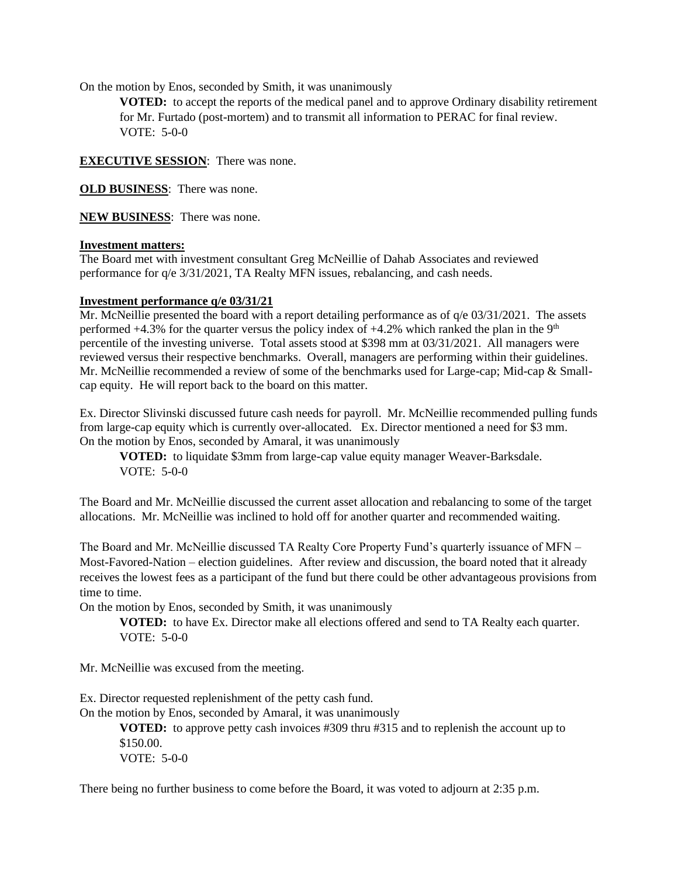On the motion by Enos, seconded by Smith, it was unanimously

**VOTED:** to accept the reports of the medical panel and to approve Ordinary disability retirement for Mr. Furtado (post-mortem) and to transmit all information to PERAC for final review.  $VOTE: 5-0-0$ 

**EXECUTIVE SESSION**: There was none.

**OLD BUSINESS**: There was none.

**NEW BUSINESS**: There was none.

## **Investment matters:**

The Board met with investment consultant Greg McNeillie of Dahab Associates and reviewed performance for q/e 3/31/2021, TA Realty MFN issues, rebalancing, and cash needs.

#### **Investment performance q/e 03/31/21**

Mr. McNeillie presented the board with a report detailing performance as of  $q/e$  03/31/2021. The assets performed  $+4.3\%$  for the quarter versus the policy index of  $+4.2\%$  which ranked the plan in the 9<sup>th</sup> percentile of the investing universe. Total assets stood at \$398 mm at 03/31/2021. All managers were reviewed versus their respective benchmarks. Overall, managers are performing within their guidelines. Mr. McNeillie recommended a review of some of the benchmarks used for Large-cap; Mid-cap & Smallcap equity. He will report back to the board on this matter.

Ex. Director Slivinski discussed future cash needs for payroll. Mr. McNeillie recommended pulling funds from large-cap equity which is currently over-allocated. Ex. Director mentioned a need for \$3 mm. On the motion by Enos, seconded by Amaral, it was unanimously

**VOTED:** to liquidate \$3mm from large-cap value equity manager Weaver-Barksdale. VOTE: 5-0-0

The Board and Mr. McNeillie discussed the current asset allocation and rebalancing to some of the target allocations. Mr. McNeillie was inclined to hold off for another quarter and recommended waiting.

The Board and Mr. McNeillie discussed TA Realty Core Property Fund's quarterly issuance of MFN – Most-Favored-Nation – election guidelines. After review and discussion, the board noted that it already receives the lowest fees as a participant of the fund but there could be other advantageous provisions from time to time.

On the motion by Enos, seconded by Smith, it was unanimously

**VOTED:** to have Ex. Director make all elections offered and send to TA Realty each quarter. VOTE: 5-0-0

Mr. McNeillie was excused from the meeting.

Ex. Director requested replenishment of the petty cash fund.

On the motion by Enos, seconded by Amaral, it was unanimously

**VOTED:** to approve petty cash invoices #309 thru #315 and to replenish the account up to \$150.00. VOTE: 5-0-0

There being no further business to come before the Board, it was voted to adjourn at 2:35 p.m.